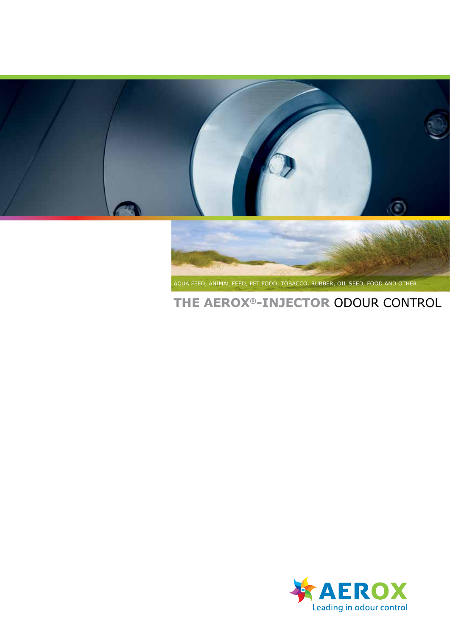



Aqua feed, Animal Feed, Pet Food, Tobacco, Rubber, Oil seed, Food and Other

# **THE Aerox®-Injector** ODOUR CONTROL

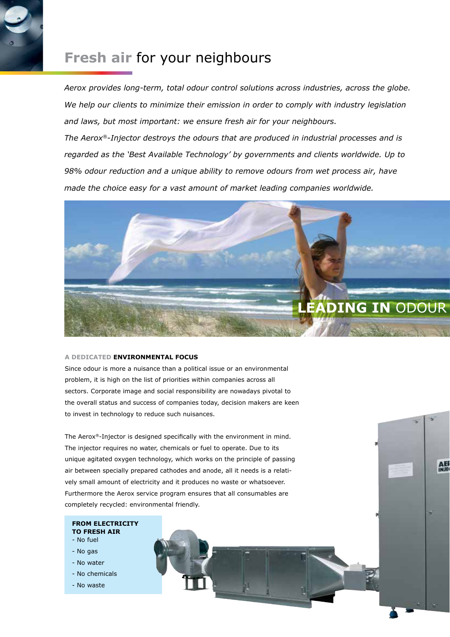### **Fresh air** for your neighbours

*Aerox provides long-term, total odour control solutions across industries, across the globe. We help our clients to minimize their emission in order to comply with industry legislation and laws, but most important: we ensure fresh air for your neighbours.*

*The Aerox®-Injector destroys the odours that are produced in industrial processes and is regarded as the 'Best Available Technology' by governments and clients worldwide. Up to 98% odour reduction and a unique ability to remove odours from wet process air, have made the choice easy for a vast amount of market leading companies worldwide.*



AE

#### **A Dedicated Environmental Focus**

Since odour is more a nuisance than a political issue or an environmental problem, it is high on the list of priorities within companies across all sectors. Corporate image and social responsibility are nowadays pivotal to the overall status and success of companies today, decision makers are keen to invest in technology to reduce such nuisances.

The Aerox®-Injector is designed specifically with the environment in mind. The injector requires no water, chemicals or fuel to operate. Due to its unique agitated oxygen technology, which works on the principle of passing air between specially prepared cathodes and anode, all it needs is a relatively small amount of electricity and it produces no waste or whatsoever. Furthermore the Aerox service program ensures that all consumables are completely recycled: environmental friendly.

- **From electricity to fresh air**
- No fuel
- No gas
- No water
- No chemicals
- No waste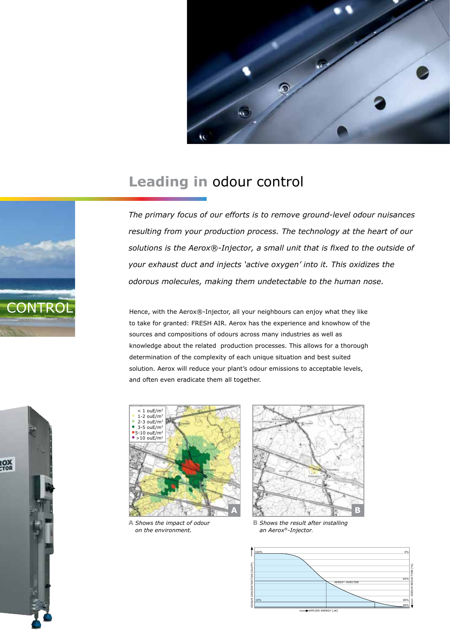

## **Leading in** odour control



*The primary focus of our efforts is to remove ground-level odour nuisances resulting from your production process. The technology at the heart of our solutions is the Aerox®-Injector, a small unit that is fixed to the outside of your exhaust duct and injects 'active oxygen' into it. This oxidizes the odorous molecules, making them undetectable to the human nose.* 

Hence, with the Aerox®-Injector, all your neighbours can enjoy what they like to take for granted: FRESH AIR. Aerox has the experience and knowhow of the sources and compositions of odours across many industries as well as knowledge about the related production processes. This allows for a thorough determination of the complexity of each unique situation and best suited solution. Aerox will reduce your plant's odour emissions to acceptable levels, and often even eradicate them all together.



**A** *Shows the impact of odour on the environment.*



**B** *Shows the result after installing an Aerox®-Injector.*



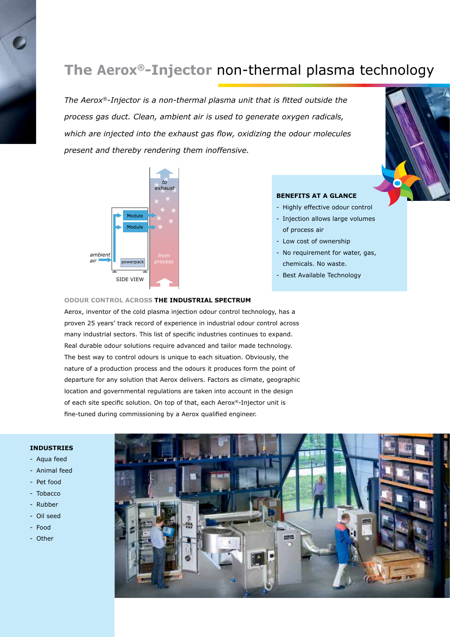# **The Aerox®-Injector** non-thermal plasma technology

*The Aerox®-Injector is a non-thermal plasma unit that is fitted outside the process gas duct. Clean, ambient air is used to generate oxygen radicals, which are injected into the exhaust gas flow, oxidizing the odour molecules present and thereby rendering them inoffensive.*



### **Benefits at a glance**

- Highly effective odour control
- Injection allows large volumes of process air
- Low cost of ownership
- No requirement for water, gas, chemicals. No waste.
- Best Available Technology

#### **Odour Control Across the Industrial Spectrum**

Aerox, inventor of the cold plasma injection odour control technology, has a proven 25 years' track record of experience in industrial odour control across many industrial sectors. This list of specific industries continues to expand. Real durable odour solutions require advanced and tailor made technology. The best way to control odours is unique to each situation. Obviously, the nature of a production process and the odours it produces form the point of departure for any solution that Aerox delivers. Factors as climate, geographic location and governmental regulations are taken into account in the design of each site specific solution. On top of that, each Aerox®-Injector unit is fine-tuned during commissioning by a Aerox qualified engineer.

### **INDUSTRIES**

- Aqua feed
- Animal feed
- Pet food
- Tobacco
- Rubber
- Oil seed
- Food
- Other

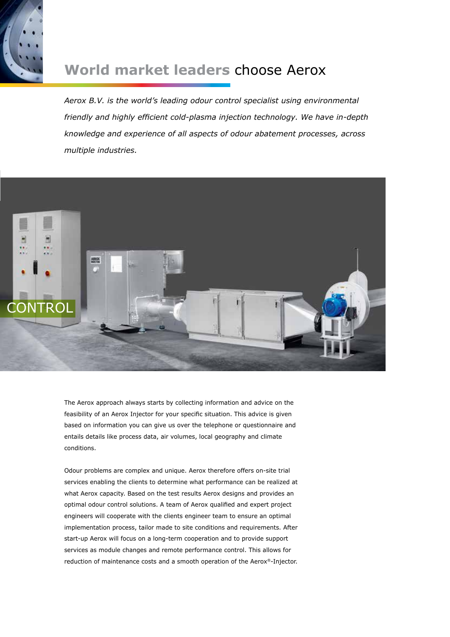

### **World market leaders** choose Aerox

*Aerox B.V. is the world's leading odour control specialist using environmental friendly and highly efficient cold-plasma injection technology. We have in-depth knowledge and experience of all aspects of odour abatement processes, across multiple industries.*



The Aerox approach always starts by collecting information and advice on the feasibility of an Aerox Injector for your specific situation. This advice is given based on information you can give us over the telephone or questionnaire and entails details like process data, air volumes, local geography and climate conditions.

Odour problems are complex and unique. Aerox therefore offers on-site trial services enabling the clients to determine what performance can be realized at what Aerox capacity. Based on the test results Aerox designs and provides an optimal odour control solutions. A team of Aerox qualified and expert project engineers will cooperate with the clients engineer team to ensure an optimal implementation process, tailor made to site conditions and requirements. After start-up Aerox will focus on a long-term cooperation and to provide support services as module changes and remote performance control. This allows for reduction of maintenance costs and a smooth operation of the Aerox®-Injector.